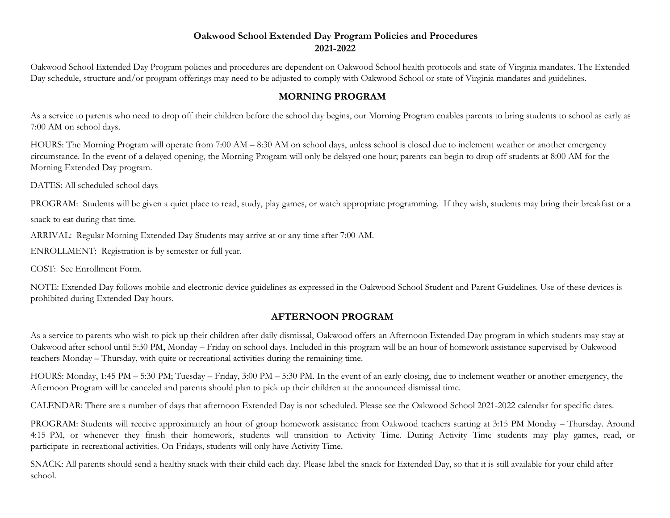## Oakwood School Extended Day Program Policies and Procedures 2021-2022

Oakwood School Extended Day Program policies and procedures are dependent on Oakwood School health protocols and state of Virginia mandates. The Extended Day schedule, structure and/or program offerings may need to be adjusted to comply with Oakwood School or state of Virginia mandates and guidelines.

## MORNING PROGRAM

As a service to parents who need to drop off their children before the school day begins, our Morning Program enables parents to bring students to school as early as 7:00 AM on school days.

HOURS: The Morning Program will operate from 7:00 AM – 8:30 AM on school days, unless school is closed due to inclement weather or another emergency circumstance. In the event of a delayed opening, the Morning Program will only be delayed one hour; parents can begin to drop off students at 8:00 AM for the Morning Extended Day program.

DATES: All scheduled school days

PROGRAM: Students will be given a quiet place to read, study, play games, or watch appropriate programming. If they wish, students may bring their breakfast or a

snack to eat during that time.

ARRIVAL: Regular Morning Extended Day Students may arrive at or any time after 7:00 AM.

ENROLLMENT: Registration is by semester or full year.

COST: See Enrollment Form.

NOTE: Extended Day follows mobile and electronic device guidelines as expressed in the Oakwood School Student and Parent Guidelines. Use of these devices is prohibited during Extended Day hours.

## AFTERNOON PROGRAM

As a service to parents who wish to pick up their children after daily dismissal, Oakwood offers an Afternoon Extended Day program in which students may stay at Oakwood after school until 5:30 PM, Monday – Friday on school days. Included in this program will be an hour of homework assistance supervised by Oakwood teachers Monday – Thursday, with quite or recreational activities during the remaining time.

HOURS: Monday, 1:45 PM – 5:30 PM; Tuesday – Friday, 3:00 PM – 5:30 PM. In the event of an early closing, due to inclement weather or another emergency, the Afternoon Program will be canceled and parents should plan to pick up their children at the announced dismissal time.

CALENDAR: There are a number of days that afternoon Extended Day is not scheduled. Please see the Oakwood School 2021-2022 calendar for specific dates.

PROGRAM: Students will receive approximately an hour of group homework assistance from Oakwood teachers starting at 3:15 PM Monday – Thursday. Around 4:15 PM, or whenever they finish their homework, students will transition to Activity Time. During Activity Time students may play games, read, or participate in recreational activities. On Fridays, students will only have Activity Time.

SNACK: All parents should send a healthy snack with their child each day. Please label the snack for Extended Day, so that it is still available for your child after school.